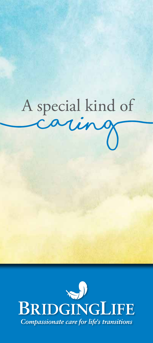

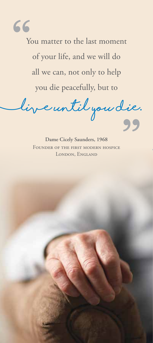66

You matter to the last moment of your life, and we will do all we can, not only to help you die peacefully, but to

**(live until you die.**

**Dame Cicely Saunders, 1968** FOUNDER OF THE FIRST MODERN HOSPICE LONDON, ENGLAND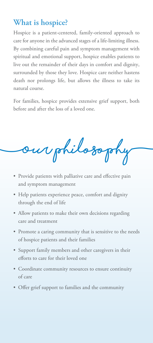# **What is hospice?**

Hospice is a patient-centered, family-oriented approach to care for anyone in the advanced stages of a life-limiting illness. By combining careful pain and symptom management with spiritual and emotional support, hospice enables patients to live out the remainder of their days in comfort and dignity, surrounded by those they love. Hospice care neither hastens death nor prolongs life, but allows the illness to take its natural course.

For families, hospice provides extensive grief support, both before and after the loss of a loved one.

**(Our philosophy)**

- Provide patients with palliative care and effective pain and symptom management
- Help patients experience peace, comfort and dignity through the end of life
- Allow patients to make their own decisions regarding care and treatment
- Promote a caring community that is sensitive to the needs of hospice patients and their families
- Support family members and other caregivers in their efforts to care for their loved one
- Coordinate community resources to ensure continuity of care
- Offer grief support to families and the community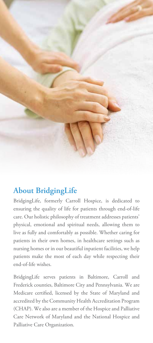

# **About BridgingLife**

BridgingLife, formerly Carroll Hospice, is dedicated to ensuring the quality of life for patients through end-of-life care. Our holistic philosophy of treatment addresses patients' physical, emotional and spiritual needs, allowing them to live as fully and comfortably as possible. Whether caring for patients in their own homes, in healthcare settings such as nursing homes or in our beautiful inpatient facilities, we help patients make the most of each day while respecting their end-of-life wishes.

BridgingLife serves patients in Baltimore, Carroll and Frederick counties, Baltimore City and Pennsylvania. We are Medicare certified, licensed by the State of Maryland and accredited by the Community Health Accreditation Program (CHAP). We also are a member of the Hospice and Palliative Care Network of Maryland and the National Hospice and Palliative Care Organization.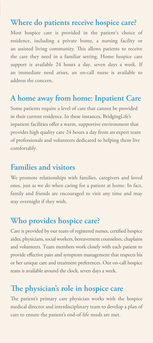## **Where do patients receive hospice care?**

Most hospice care is provided in the patient's choice of residence, including a private home, a nursing facility or an assisted living community. This allows patients to receive the care they need in a familiar setting. Home hospice care support is available 24 hours a day, seven days a week. If an immediate need arises, an on-call nurse is available to address the concern.

#### **A home away from home: Inpatient Care**

Some patients require a level of care that cannot be provided in their current residence. In these instances, BridgingLife's inpatient facilities offer a warm, supportive environment that provides high quality care 24 hours a day from an expert team of professionals and volunteers dedicated to helping them live comfortably.

## **Families and visitors**

We promote relationships with families, caregivers and loved ones, just as we do when caring for a patient at home. In fact, family and friends are encouraged to visit any time and may stay overnight if they wish.

## **Who provides hospice care?**

Care is provided by our team of registered nurses, certified hospice aides, physicians, social workers, bereavement counselors, chaplains and volunteers. Team members work closely with each patient to provide effective pain and symptom management that respects his or her unique care and treatment preferences. Our on-call hospice team is available around the clock, seven days a week.

## **The physician's role in hospice care**

The patient's primary care physician works with the hospice medical director and interdisciplinary team to develop a plan of care to ensure the patient's end-of-life needs are met.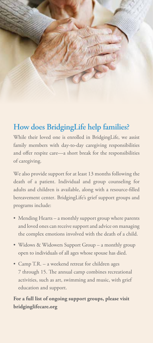

# **How does BridgingLife help families?**

While their loved one is enrolled in BridgingLife, we assist family members with day-to-day caregiving responsibilities and offer respite care—a short break for the responsibilities of caregiving.

We also provide support for at least 13 months following the death of a patient. Individual and group counseling for adults and children is available, along with a resource-filled bereavement center. BridgingLife's grief support groups and programs include:

- Mending Hearts a monthly support group where parents and loved ones can receive support and advice on managing the complex emotions involved with the death of a child.
- Widows & Widowers Support Group a monthly group open to individuals of all ages whose spouse has died.
- Camp T.R. a weekend retreat for children ages 7 through 15. The annual camp combines recreational activities, such as art, swimming and music, with grief education and support.

**For a full list of ongoing support groups, please visit bridginglifecare.org**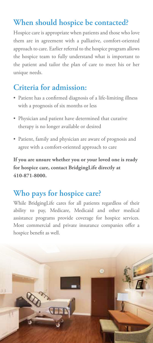# **When should hospice be contacted?**

Hospice care is appropriate when patients and those who love them are in agreement with a palliative, comfort-oriented approach to care. Earlier referral to the hospice program allows the hospice team to fully understand what is important to the patient and tailor the plan of care to meet his or her unique needs.

## **Criteria for admission:**

- Patient has a confirmed diagnosis of a life-limiting illness with a prognosis of six months or less
- Physician and patient have determined that curative therapy is no longer available or desired
- Patient, family and physician are aware of prognosis and agree with a comfort-oriented approach to care

**If you are unsure whether you or your loved one is ready for hospice care, contact BridgingLife directly at 410-871-8000.** 

## **Who pays for hospice care?**

While BridgingLife cares for all patients regardless of their ability to pay, Medicare, Medicaid and other medical assistance programs provide coverage for hospice services. Most commercial and private insurance companies offer a hospice benefit as well.

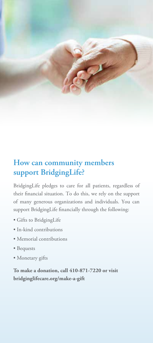

# **How can community members support BridgingLife?**

BridgingLife pledges to care for all patients, regardless of their financial situation. To do this, we rely on the support of many generous organizations and individuals. You can support BridgingLife financially through the following:

- Gifts to BridgingLife
- In-kind contributions
- Memorial contributions
- Bequests
- Monetary gifts

**To make a donation, call 410-871-7220 or visit bridginglifecare.org/make-a-gift**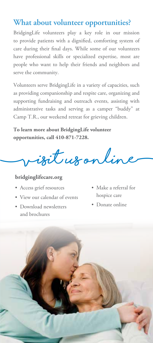## **What about volunteer opportunities?**

BridgingLife volunteers play a key role in our mission to provide patients with a dignified, comforting system of care during their final days. While some of our volunteers have professional skills or specialized expertise, most are people who want to help their friends and neighbors and serve the community.

Volunteers serve BridgingLife in a variety of capacities, such as providing companionship and respite care, organizing and supporting fundraising and outreach events, assisting with administrative tasks and serving as a camper "buddy" at Camp T.R., our weekend retreat for grieving children.

**To learn more about BridgingLife volunteer opportunities, call 410-871-7228.** 

**(visit us online)**

#### **bridginglifecare.org**

- Access grief resources
- View our calendar of events
- Download newsletters and brochures
- Make a referral for hospice care
- Donate online

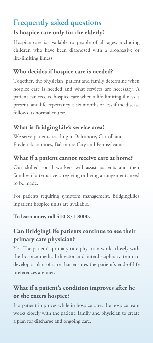# **Frequently asked questions**

#### **Is hospice care only for the elderly?**

Hospice care is available to people of all ages, including children who have been diagnosed with a progressive or life-limiting illness.

## **Who decides if hospice care is needed?**

Together, the physician, patient and family determine when hospice care is needed and what services are necessary. A patient can receive hospice care when a life-limiting illness is present, and life expectancy is six months or less if the disease follows its normal course.

## **What is BridgingLife's service area?**

We serve patients residing in Baltimore, Carroll and Frederick counties, Baltimore City and Pennsylvania.

## **What if a patient cannot receive care at home?**

Our skilled social workers will assist patients and their families if alternative caregiving or living arrangements need to be made.

For patients requiring symptom management, BridgingLife's inpatient hospice units are available.

#### **To learn more, call 410-871-8000.**

#### **Can BridgingLife patients continue to see their primary care physician?**

Yes. The patient's primary care physician works closely with the hospice medical director and interdisciplinary team to develop a plan of care that ensures the patient's end-of-life preferences are met.

## **What if a patient's condition improves after he or she enters hospice?**

If a patient improves while in hospice care, the hospice team works closely with the patient, family and physician to create a plan for discharge and ongoing care.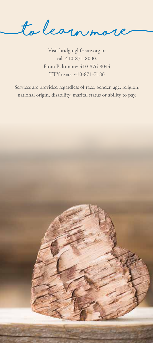**(to learn more)**

Visit bridginglifecare.org or call 410-871-8000. From Baltimore: 410-876-8044 TTY users: 410-871-7186

Services are provided regardless of race, gender, age, religion, national origin, disability, marital status or ability to pay.